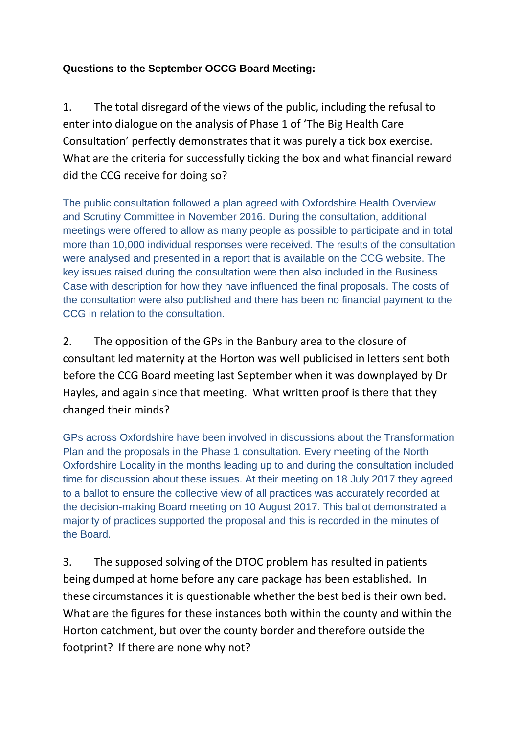## **Questions to the September OCCG Board Meeting:**

1. The total disregard of the views of the public, including the refusal to enter into dialogue on the analysis of Phase 1 of 'The Big Health Care Consultation' perfectly demonstrates that it was purely a tick box exercise. What are the criteria for successfully ticking the box and what financial reward did the CCG receive for doing so?

The public consultation followed a plan agreed with Oxfordshire Health Overview and Scrutiny Committee in November 2016. During the consultation, additional meetings were offered to allow as many people as possible to participate and in total more than 10,000 individual responses were received. The results of the consultation were analysed and presented in a report that is available on the CCG website. The key issues raised during the consultation were then also included in the Business Case with description for how they have influenced the final proposals. The costs of the consultation were also published and there has been no financial payment to the CCG in relation to the consultation.

2. The opposition of the GPs in the Banbury area to the closure of consultant led maternity at the Horton was well publicised in letters sent both before the CCG Board meeting last September when it was downplayed by Dr Hayles, and again since that meeting. What written proof is there that they changed their minds?

GPs across Oxfordshire have been involved in discussions about the Transformation Plan and the proposals in the Phase 1 consultation. Every meeting of the North Oxfordshire Locality in the months leading up to and during the consultation included time for discussion about these issues. At their meeting on 18 July 2017 they agreed to a ballot to ensure the collective view of all practices was accurately recorded at the decision-making Board meeting on 10 August 2017. This ballot demonstrated a majority of practices supported the proposal and this is recorded in the minutes of the Board.

3. The supposed solving of the DTOC problem has resulted in patients being dumped at home before any care package has been established. In these circumstances it is questionable whether the best bed is their own bed. What are the figures for these instances both within the county and within the Horton catchment, but over the county border and therefore outside the footprint? If there are none why not?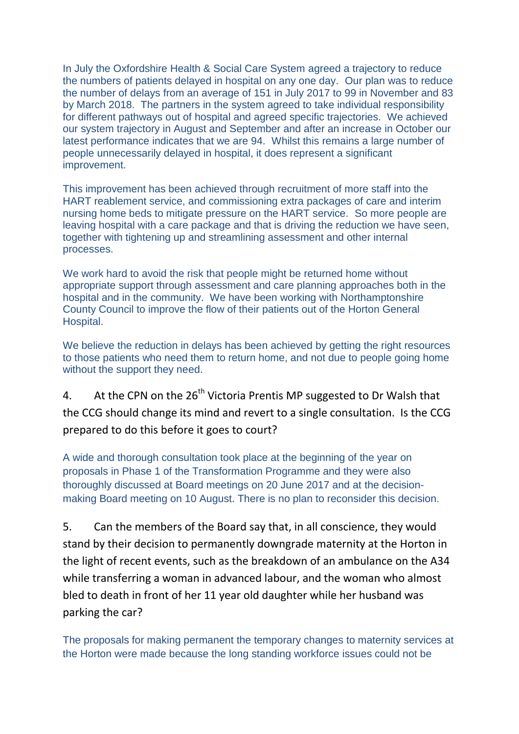In July the Oxfordshire Health & Social Care System agreed a trajectory to reduce the numbers of patients delayed in hospital on any one day. Our plan was to reduce the number of delays from an average of 151 in July 2017 to 99 in November and 83 by March 2018. The partners in the system agreed to take individual responsibility for different pathways out of hospital and agreed specific trajectories. We achieved our system trajectory in August and September and after an increase in October our latest performance indicates that we are 94. Whilst this remains a large number of people unnecessarily delayed in hospital, it does represent a significant improvement.

This improvement has been achieved through recruitment of more staff into the HART reablement service, and commissioning extra packages of care and interim nursing home beds to mitigate pressure on the HART service. So more people are leaving hospital with a care package and that is driving the reduction we have seen, together with tightening up and streamlining assessment and other internal processes.

We work hard to avoid the risk that people might be returned home without appropriate support through assessment and care planning approaches both in the hospital and in the community. We have been working with Northamptonshire County Council to improve the flow of their patients out of the Horton General Hospital.

We believe the reduction in delays has been achieved by getting the right resources to those patients who need them to return home, and not due to people going home without the support they need.

4. At the CPN on the 26<sup>th</sup> Victoria Prentis MP suggested to Dr Walsh that the CCG should change its mind and revert to a single consultation. Is the CCG prepared to do this before it goes to court?

A wide and thorough consultation took place at the beginning of the year on proposals in Phase 1 of the Transformation Programme and they were also thoroughly discussed at Board meetings on 20 June 2017 and at the decisionmaking Board meeting on 10 August. There is no plan to reconsider this decision.

5. Can the members of the Board say that, in all conscience, they would stand by their decision to permanently downgrade maternity at the Horton in the light of recent events, such as the breakdown of an ambulance on the A34 while transferring a woman in advanced labour, and the woman who almost bled to death in front of her 11 year old daughter while her husband was parking the car?

The proposals for making permanent the temporary changes to maternity services at the Horton were made because the long standing workforce issues could not be